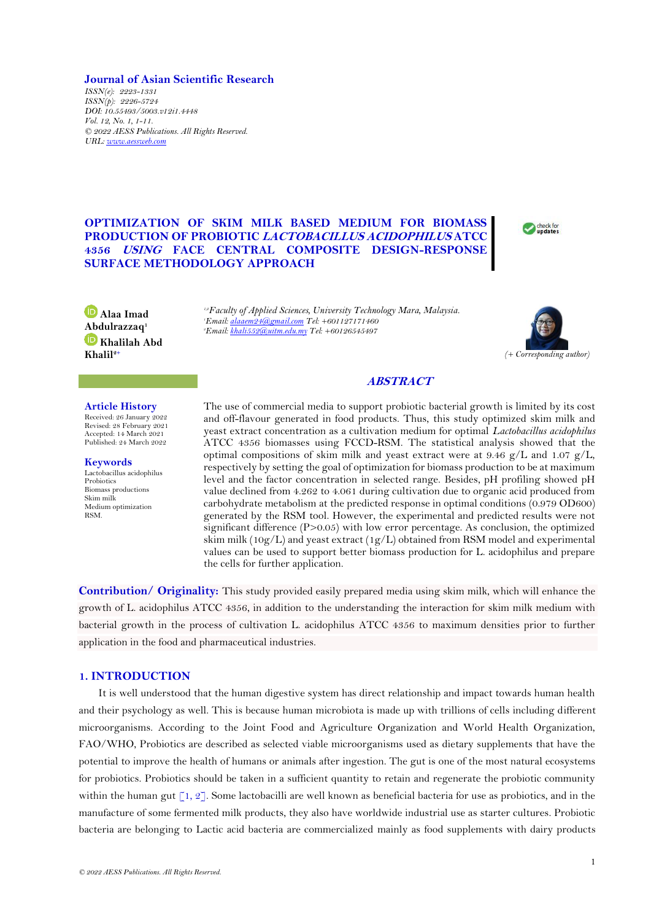## **Journal of Asian Scientific Research**

*ISSN(e): 2223-1331 ISSN(p): 2226-5724 DOI: 10.55493/5003.v12i1.4448 Vol. 12, No. 1, 1-11. © 2022 AESS Publications. All Rights Reserved. URL[: www.aessweb.com](http://www.aessweb.com/)*

# **OPTIMIZATION OF SKIM MILK BASED MEDIUM FOR BIOMASS PRODUCTION OF PROBIOTIC LACTOBACILLUS ACIDOPHILUS ATCC 4356 USING FACE CENTRAL COMPOSITE DESIGN-RESPONSE SURFACE METHODOLOGY APPROACH**

*1,2Faculty of Applied Sciences, University Technology Mara, Malaysia. <sup>1</sup>Email[: alaaem24@gmail.com](mailto:alaaem24@gmail.com) Tel: +601127171460 <sup>2</sup>Email[: khali552@uitm.edu.my](mailto:khali552@uitm.edu.my) Tel: +60126545497*



Check for

## **ABSTRACT**

**Article History**

**Alaa Imad [Abd](https://orcid.org/0000-0001-5321-4780)ulrazzaq<sup>1</sup> Khalilah Abd** 

**Khalil2+**

Received: 26 January 2022 Revised: 28 February 2021 Accepted: 14 March 2021 Published: 24 March 2022

**Keywords** Lactobacillus acidophilus Probiotics Biomass productions Skim milk Medium optimization RSM.

The use of commercial media to support probiotic bacterial growth is limited by its cost and off-flavour generated in food products. Thus, this study optimized skim milk and yeast extract concentration as a cultivation medium for optimal *Lactobacillus acidophilus* ATCC 4356 biomasses using FCCD-RSM. The statistical analysis showed that the optimal compositions of skim milk and yeast extract were at 9.46  $g/L$  and 1.07  $g/L$ , respectively by setting the goal of optimization for biomass production to be at maximum level and the factor concentration in selected range. Besides, pH profiling showed pH value declined from 4.262 to 4.061 during cultivation due to organic acid produced from carbohydrate metabolism at the predicted response in optimal conditions (0.979 OD600) generated by the RSM tool. However, the experimental and predicted results were not significant difference  $(P>0.05)$  with low error percentage. As conclusion, the optimized skim milk ( $10g/L$ ) and yeast extract ( $1g/L$ ) obtained from RSM model and experimental values can be used to support better biomass production for L. acidophilus and prepare the cells for further application.

**Contribution/ Originality:** This study provided easily prepared media using skim milk, which will enhance the growth of L. acidophilus ATCC 4356, in addition to the understanding the interaction for skim milk medium with bacterial growth in the process of cultivation L. acidophilus ATCC 4356 to maximum densities prior to further application in the food and pharmaceutical industries.

# **1. INTRODUCTION**

It is well understood that the human digestive system has direct relationship and impact towards human health and their psychology as well. This is because human microbiota is made up with trillions of cells including different microorganisms. According to the Joint Food and Agriculture Organization and World Health Organization, FAO/WHO, Probiotics are described as selected viable microorganisms used as dietary supplements that have the potential to improve the health of humans or animals after ingestion. The gut is one of the most natural ecosystems for probiotics. Probiotics should be taken in a sufficient quantity to retain and regenerate the probiotic community within the human gut [\[1,](#page-9-0) [2\]](#page-9-1). Some lactobacilli are well known as beneficial bacteria for use as probiotics, and in the manufacture of some fermented milk products, they also have worldwide industrial use as starter cultures. Probiotic bacteria are belonging to Lactic acid bacteria are commercialized mainly as food supplements with dairy products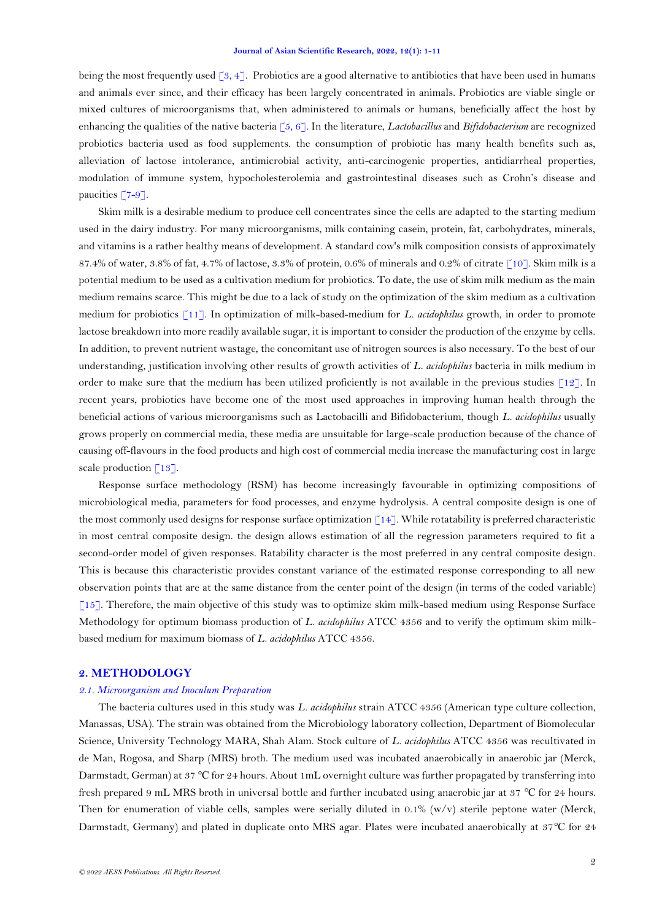being the most frequently used [\[3,](#page-9-2) [4\]](#page-9-3). Probiotics are a good alternative to antibiotics that have been used in humans and animals ever since, and their efficacy has been largely concentrated in animals. Probiotics are viable single or mixed cultures of microorganisms that, when administered to animals or humans, beneficially affect the host by enhancing the qualities of the native bacteria [\[5,](#page-9-4) [6\]](#page-10-0). In the literature, *Lactobacillus* and *Bifidobacterium* are recognized probiotics bacteria used as food supplements. the consumption of probiotic has many health benefits such as, alleviation of lactose intolerance, antimicrobial activity, anti-carcinogenic properties, antidiarrheal properties, modulation of immune system, hypocholesterolemia and gastrointestinal diseases such as Crohn's disease and paucities [\[7-9\]](#page-10-1).

Skim milk is a desirable medium to produce cell concentrates since the cells are adapted to the starting medium used in the dairy industry. For many microorganisms, milk containing casein, protein, fat, carbohydrates, minerals, and vitamins is a rather healthy means of development. A standard cow's milk composition consists of approximately 87.4% of water, 3.8% of fat, 4.7% of lactose, 3.3% of protein, 0.6% of minerals and 0.2% of citrate [\[10\]](#page-10-2). Skim milk is a potential medium to be used as a cultivation medium for probiotics. To date, the use of skim milk medium as the main medium remains scarce. This might be due to a lack of study on the optimization of the skim medium as a cultivation medium for probiotics [\[11\]](#page-10-3). In optimization of milk-based-medium for *L. acidophilus* growth, in order to promote lactose breakdown into more readily available sugar, it is important to consider the production of the enzyme by cells. In addition, to prevent nutrient wastage, the concomitant use of nitrogen sources is also necessary. To the best of our understanding, justification involving other results of growth activities of *L. acidophilus* bacteria in milk medium in order to make sure that the medium has been utilized proficiently is not available in the previous studies  $\lceil 12 \rceil$ . In recent years, probiotics have become one of the most used approaches in improving human health through the beneficial actions of various microorganisms such as Lactobacilli and Bifidobacterium, though *L. acidophilus* usually grows properly on commercial media, these media are unsuitable for large-scale production because of the chance of causing off-flavours in the food products and high cost of commercial media increase the manufacturing cost in large scale production  $\lceil 13 \rceil$ .

Response surface methodology (RSM) has become increasingly favourable in optimizing compositions of microbiological media, parameters for food processes, and enzyme hydrolysis. A central composite design is one of the most commonly used designs for response surface optimization [\[14\]](#page-10-6). While rotatability is preferred characteristic in most central composite design. the design allows estimation of all the regression parameters required to fit a second-order model of given responses. Ratability character is the most preferred in any central composite design. This is because this characteristic provides constant variance of the estimated response corresponding to all new observation points that are at the same distance from the center point of the design (in terms of the coded variable) [\[15\]](#page-10-7). Therefore, the main objective of this study was to optimize skim milk-based medium using Response Surface Methodology for optimum biomass production of *L. acidophilus* ATCC 4356 and to verify the optimum skim milkbased medium for maximum biomass of *L. acidophilus* ATCC 4356.

#### **2. METHODOLOGY**

## *2.1. Microorganism and Inoculum Preparation*

The bacteria cultures used in this study was *L. acidophilus* strain ATCC 4356 (American type culture collection, Manassas, USA). The strain was obtained from the Microbiology laboratory collection, Department of Biomolecular Science, University Technology MARA, Shah Alam. Stock culture of *L. acidophilus* ATCC 4356 was recultivated in de Man, Rogosa, and Sharp (MRS) broth. The medium used was incubated anaerobically in anaerobic jar (Merck, Darmstadt, German) at 37 ℃ for 24 hours. About 1mL overnight culture was further propagated by transferring into fresh prepared 9 mL MRS broth in universal bottle and further incubated using anaerobic jar at 37 ℃ for 24 hours. Then for enumeration of viable cells, samples were serially diluted in 0.1% (w/v) sterile peptone water (Merck, Darmstadt, Germany) and plated in duplicate onto MRS agar. Plates were incubated anaerobically at 37℃ for 24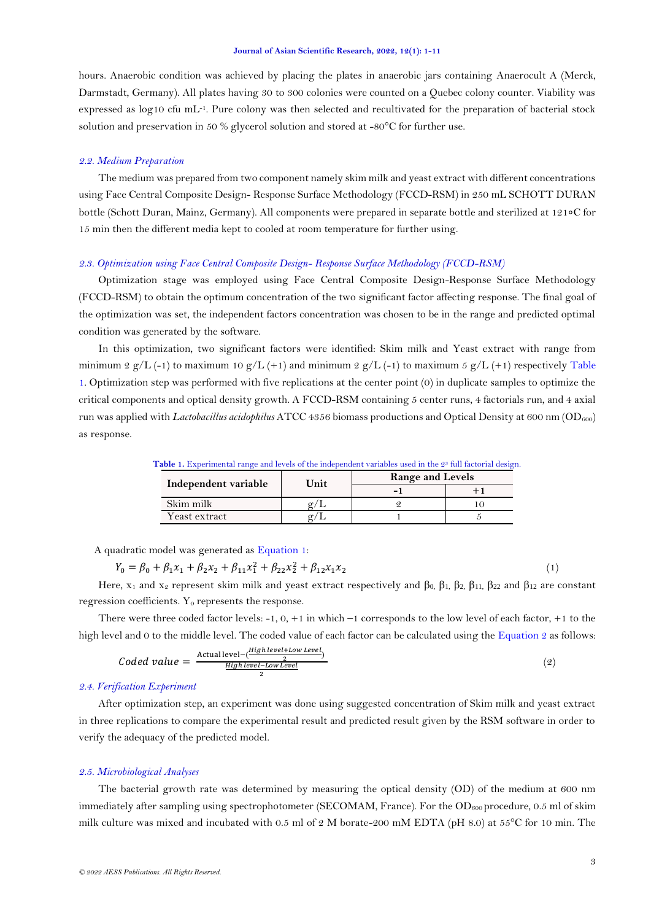hours. Anaerobic condition was achieved by placing the plates in anaerobic jars containing Anaerocult A (Merck, Darmstadt, Germany). All plates having 30 to 300 colonies were counted on a Quebec colony counter. Viability was expressed as log10 cfu mL-1 . Pure colony was then selected and recultivated for the preparation of bacterial stock solution and preservation in 50 % glycerol solution and stored at -80°C for further use.

### *2.2. Medium Preparation*

The medium was prepared from two component namely skim milk and yeast extract with different concentrations using Face Central Composite Design- Response Surface Methodology (FCCD-RSM) in 250 mL SCHOTT DURAN bottle (Schott Duran, Mainz, Germany). All components were prepared in separate bottle and sterilized at 121∘C for 15 min then the different media kept to cooled at room temperature for further using.

### *2.3. Optimization using Face Central Composite Design- Response Surface Methodology (FCCD-RSM)*

Optimization stage was employed using Face Central Composite Design-Response Surface Methodology (FCCD-RSM) to obtain the optimum concentration of the two significant factor affecting response. The final goal of the optimization was set, the independent factors concentration was chosen to be in the range and predicted optimal condition was generated by the software.

In this optimization, two significant factors were identified: Skim milk and Yeast extract with range from minimum 2 g/L (-1) to maximum 10 g/L (+1) and minimum 2 g/L (-1) to maximum 5 g/L (+1) respectively Table [1.](#page-2-0) Optimization step was performed with five replications at the center point (0) in duplicate samples to optimize the critical components and optical density growth. A FCCD-RSM containing 5 center runs, 4 factorials run, and 4 axial run was applied with *Lactobacillus acidophilus* ATCC 4356 biomass productions and Optical Density at 600 nm (OD600) as response.

<span id="page-2-1"></span><span id="page-2-0"></span>

| <b>Table 1.</b> Experimental range and levels of the independent variables used in the 2° full factorial design. |      |                         |  |  |  |
|------------------------------------------------------------------------------------------------------------------|------|-------------------------|--|--|--|
| Independent variable                                                                                             | Unit | <b>Range and Levels</b> |  |  |  |
|                                                                                                                  |      |                         |  |  |  |
| Skim milk                                                                                                        |      |                         |  |  |  |
| Yeast extract                                                                                                    |      |                         |  |  |  |

 $T<sub>1</sub>$  Table of the independent variables used in the 23 full for full factorial design.

A quadratic model was generated as [Equation 1:](#page-2-1)

$$
Y_0 = \beta_0 + \beta_1 x_1 + \beta_2 x_2 + \beta_{11} x_1^2 + \beta_{22} x_2^2 + \beta_{12} x_1 x_2 \tag{1}
$$

Here,  $x_1$  and  $x_2$  represent skim milk and yeast extract respectively and  $\beta_0$ ,  $\beta_1$ ,  $\beta_2$ ,  $\beta_{11}$ ,  $\beta_{22}$  and  $\beta_{12}$  are constant regression coefficients.  $Y_0$  represents the response.

There were three coded factor levels:  $-1$ ,  $0$ ,  $+1$  in which  $-1$  corresponds to the low level of each factor,  $+1$  to the high level and 0 to the middle level. The coded value of each factor can be calculated using the [Equation 2](#page-2-2) as follows:

<span id="page-2-2"></span>
$$
Code d value = \frac{\text{Actual level} - (\frac{High level + Low Level}{2})}{\frac{High level - Low Level}{2}}
$$
 (2)

## *2.4. Verification Experiment*

After optimization step, an experiment was done using suggested concentration of Skim milk and yeast extract in three replications to compare the experimental result and predicted result given by the RSM software in order to verify the adequacy of the predicted model.

### *2.5. Microbiological Analyses*

The bacterial growth rate was determined by measuring the optical density (OD) of the medium at 600 nm immediately after sampling using spectrophotometer (SECOMAM, France). For the OD<sub>600</sub> procedure, 0.5 ml of skim milk culture was mixed and incubated with 0.5 ml of 2 M borate-200 mM EDTA (pH 8.0) at 55°C for 10 min. The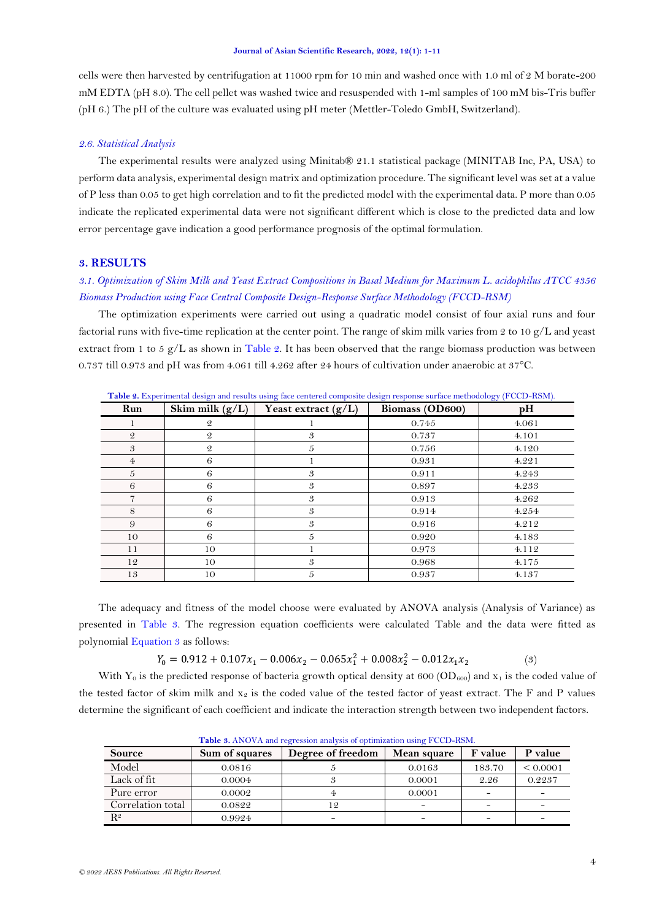cells were then harvested by centrifugation at 11000 rpm for 10 min and washed once with 1.0 ml of 2 M borate-200 mM EDTA (pH 8.0). The cell pellet was washed twice and resuspended with 1-ml samples of 100 mM bis-Tris buffer (pH 6.) The pH of the culture was evaluated using pH meter (Mettler-Toledo GmbH, Switzerland).

### *2.6. Statistical Analysis*

The experimental results were analyzed using Minitab® 21.1 statistical package (MINITAB Inc, PA, USA) to perform data analysis, experimental design matrix and optimization procedure. The significant level was set at a value of P less than 0.05 to get high correlation and to fit the predicted model with the experimental data. P more than 0.05 indicate the replicated experimental data were not significant different which is close to the predicted data and low error percentage gave indication a good performance prognosis of the optimal formulation.

## **3. RESULTS**

# *3.1. Optimization of Skim Milk and Yeast Extract Compositions in Basal Medium for Maximum L. acidophilus ATCC 4356 Biomass Production using Face Central Composite Design-Response Surface Methodology (FCCD-RSM)*

The optimization experiments were carried out using a quadratic model consist of four axial runs and four factorial runs with five-time replication at the center point. The range of skim milk varies from 2 to 10 g/L and yeast extract from 1 to 5  $g/L$  as shown in [Table 2.](#page-3-0) It has been observed that the range biomass production was between 0.737 till 0.973 and pH was from 4.061 till 4.262 after 24 hours of cultivation under anaerobic at 37°C.

| Run            | Skim milk $(g/L)$ | abre at Experimental design and results tamp have comercia composite design response surface memodology (1 OOD Taxin)<br>Yeast extract $(g/L)$ | Biomass (OD600) | pH    |
|----------------|-------------------|------------------------------------------------------------------------------------------------------------------------------------------------|-----------------|-------|
|                | $\mathcal{Q}$     |                                                                                                                                                | 0.745           | 4.061 |
| $\mathfrak{D}$ | $\mathcal{Q}$     | 3                                                                                                                                              | 0.737           | 4.101 |
| 3              | $\mathcal{Q}$     | 5                                                                                                                                              | 0.756           | 4.120 |
| 4              | 6                 |                                                                                                                                                | 0.931           | 4.221 |
| 5              | 6                 | 3                                                                                                                                              | 0.911           | 4.243 |
| 6              | 6                 | 3                                                                                                                                              | 0.897           | 4.233 |
|                | 6                 | 3                                                                                                                                              | 0.913           | 4.262 |
| 8              | 6                 | 3                                                                                                                                              | 0.914           | 4.254 |
| 9              | 6                 | 3                                                                                                                                              | 0.916           | 4.212 |
| 10             | 6                 | 5                                                                                                                                              | 0.920           | 4.183 |
| 11             | 10                |                                                                                                                                                | 0.973           | 4.112 |
| 12             | 10                | 3                                                                                                                                              | 0.968           | 4.175 |
| 13             | 10                | 5                                                                                                                                              | 0.937           | 4.137 |

<span id="page-3-0"></span>**Table 2.** Experimental design and results using face centered composite design response surface methodology (FCCD-RSM).

The adequacy and fitness of the model choose were evaluated by ANOVA analysis (Analysis of Variance) as presented in [Table 3.](#page-3-1) The regression equation coefficients were calculated Table and the data were fitted as polynomial [Equation 3](#page-3-2) as follows:

<span id="page-3-2"></span> $Y_0 = 0.912 + 0.107x_1 - 0.006x_2 - 0.065x_1^2 + 0.008x_2^2 - 0.012x_1x_2$ 

With Y<sub>0</sub> is the predicted response of bacteria growth optical density at 600 (OD<sub>600</sub>) and x<sub>1</sub> is the coded value of the tested factor of skim milk and  $x_2$  is the coded value of the tested factor of yeast extract. The F and P values determine the significant of each coefficient and indicate the interaction strength between two independent factors.

<span id="page-3-1"></span>

|                   |                | <b>Table 3.</b> Thro VIV and regression analysis of optimization using T CCD-ROIM. |             |         |          |
|-------------------|----------------|------------------------------------------------------------------------------------|-------------|---------|----------|
| <b>Source</b>     | Sum of squares | Degree of freedom                                                                  | Mean square | F value | P value  |
| Model             | 0.0816         |                                                                                    | 0.0163      | 183.70  | < 0.0001 |
| Lack of fit       | 0.0004         |                                                                                    | 0.0001      | 2.26    | 0.2237   |
| Pure error        | 0.0002         |                                                                                    | 0.0001      |         | -        |
| Correlation total | 0.0822         | 12                                                                                 |             |         |          |
| $R^2$             | 0.9924         |                                                                                    |             |         |          |

**Table 3.** ANOVA and regression analysis of optimization using FCCD-RSM.

(3)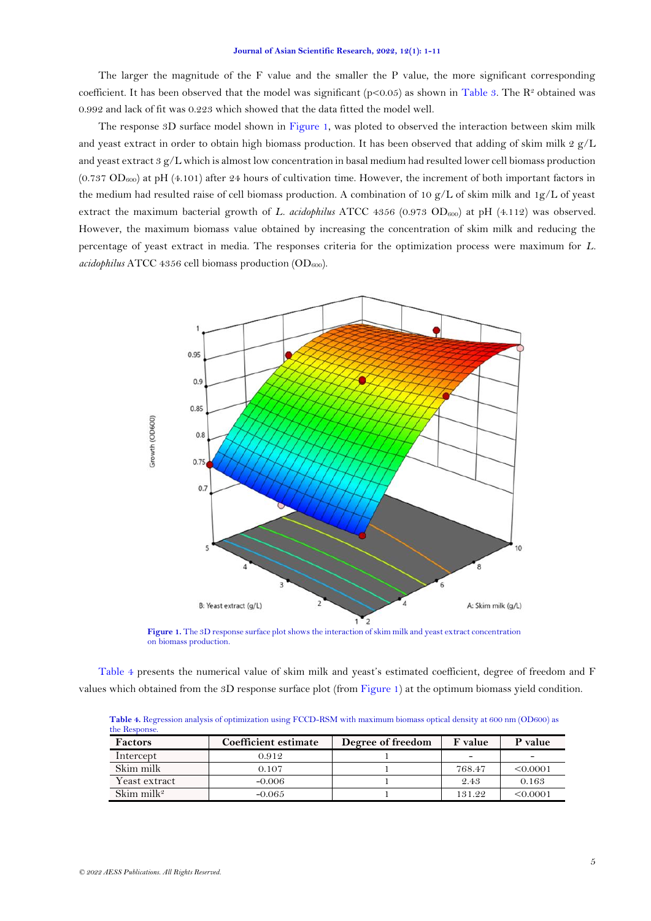The larger the magnitude of the F value and the smaller the P value, the more significant corresponding coefficient. It has been observed that the model was significant ( $p<0.05$ ) as shown in [Table 3.](#page-3-1) The R<sup>2</sup> obtained was 0.992 and lack of fit was 0.223 which showed that the data fitted the model well.

The response 3D surface model shown in [Figure 1,](#page-4-0) was ploted to observed the interaction between skim milk and yeast extract in order to obtain high biomass production. It has been observed that adding of skim milk 2  $g/L$ and yeast extract 3 g/L which is almost low concentration in basal medium had resulted lower cell biomass production  $(0.737 \text{ OD}_{600})$  at pH  $(4.101)$  after 24 hours of cultivation time. However, the increment of both important factors in the medium had resulted raise of cell biomass production. A combination of 10 g/L of skim milk and 1g/L of yeast extract the maximum bacterial growth of *L. acidophilus* ATCC 4356 (0.973 OD<sub>600</sub>) at pH (4.112) was observed. However, the maximum biomass value obtained by increasing the concentration of skim milk and reducing the percentage of yeast extract in media. The responses criteria for the optimization process were maximum for *L. acidophilus* ATCC 4356 cell biomass production  $OD_{600}$ .



**Figure 1.** The 3D response surface plot shows the interaction of skim milk and yeast extract concentration on biomass production.

<span id="page-4-0"></span>[Table 4](#page-4-1) presents the numerical value of skim milk and yeast's estimated coefficient, degree of freedom and F values which obtained from the 3D response surface plot (from [Figure 1\)](#page-4-0) at the optimum biomass yield condition.

| the Response.          |                      |                   |                |          |
|------------------------|----------------------|-------------------|----------------|----------|
| <b>Factors</b>         | Coefficient estimate | Degree of freedom | <b>F</b> value | P value  |
| Intercept              | 0.912                |                   |                | -        |
| Skim milk              | 0.107                |                   | 768.47         | < 0.0001 |
| Yeast extract          | $-0.006$             |                   | 2.43           | 0.163    |
| Skim milk <sup>2</sup> | $-0.065$             |                   | 131.22         | < 0.0001 |

<span id="page-4-1"></span>**Table 4.** Regression analysis of optimization using FCCD-RSM with maximum biomass optical density at 600 nm (OD600) as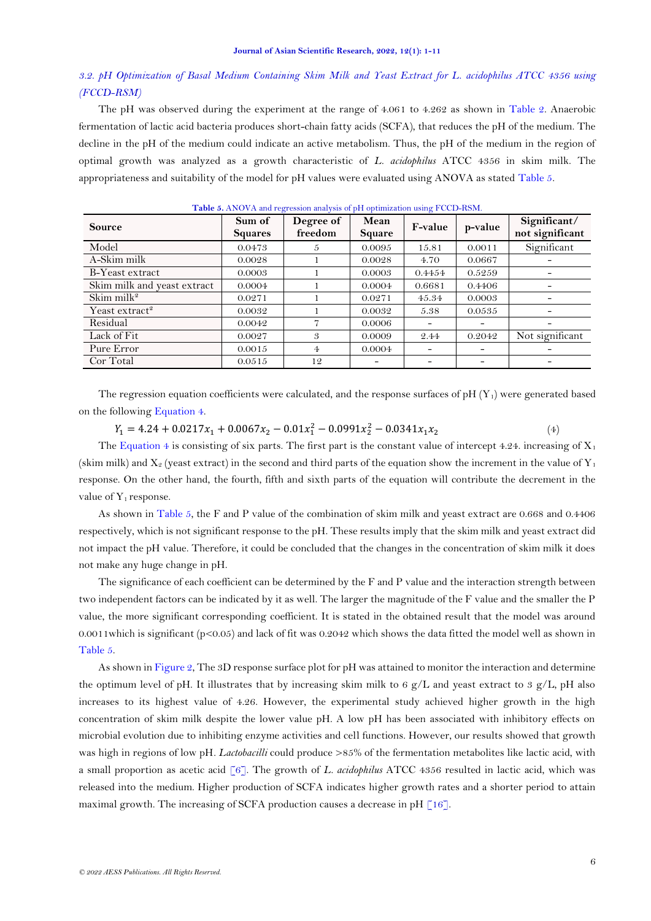# *3.2. pH Optimization of Basal Medium Containing Skim Milk and Yeast Extract for L. acidophilus ATCC 4356 using (FCCD-RSM)*

The pH was observed during the experiment at the range of 4.061 to 4.262 as shown in [Table 2.](#page-3-0) Anaerobic fermentation of lactic acid bacteria produces short-chain fatty acids (SCFA), that reduces the pH of the medium. The decline in the pH of the medium could indicate an active metabolism. Thus, the pH of the medium in the region of optimal growth was analyzed as a growth characteristic of *L. acidophilus* ATCC 4356 in skim milk. The appropriateness and suitability of the model for pH values were evaluated using ANOVA as stated [Table 5.](#page-5-0)

<span id="page-5-0"></span>

| <b>Source</b>               | Sum of<br><b>Squares</b> | Degree of<br>freedom | Mean<br>Square | F-value | p-value                  | Significant/<br>not significant |
|-----------------------------|--------------------------|----------------------|----------------|---------|--------------------------|---------------------------------|
| Model                       | 0.0473                   | 5                    | 0.0095         | 15.81   | 0.0011                   | Significant                     |
| A-Skim milk                 | 0.0028                   |                      | 0.0028         | 4.70    | 0.0667                   |                                 |
| B-Yeast extract             | 0.0003                   |                      | 0.0003         | 0.4454  | 0.5259                   |                                 |
| Skim milk and yeast extract | 0.0004                   |                      | 0.0004         | 0.6681  | 0.4406                   |                                 |
| Skim mil $k^2$              | 0.0271                   |                      | 0.0271         | 45.34   | 0.0003                   |                                 |
| Yeast extract <sup>2</sup>  | 0.0032                   |                      | 0.0032         | 5.38    | 0.0535                   |                                 |
| Residual                    | 0.0042                   |                      | 0.0006         |         |                          |                                 |
| Lack of Fit                 | 0.0027                   | 3                    | 0.0009         | 2.44    | 0.2042                   | Not significant                 |
| Pure Error                  | 0.0015                   | 4                    | 0.0004         |         | $\overline{\phantom{a}}$ |                                 |
| Cor Total                   | 0.0515                   | 12                   |                |         | $\overline{\phantom{0}}$ | -                               |

**Table 5.** ANOVA and regression analysis of pH optimization using FCCD-RSM.

The regression equation coefficients were calculated, and the response surfaces of pH $(Y_1)$  were generated based on the following [Equation 4.](#page-5-1)

<span id="page-5-1"></span> $Y_1 = 4.24 + 0.0217x_1 + 0.0067x_2 - 0.01x_1^2 - 0.0991x_2^2 - 0.0341x_1x_2$ (4)

The [Equation 4](#page-5-1) is consisting of six parts. The first part is the constant value of intercept 4.24. increasing of  $X_1$ (skim milk) and  $X_2$  (yeast extract) in the second and third parts of the equation show the increment in the value of  $Y_1$ response. On the other hand, the fourth, fifth and sixth parts of the equation will contribute the decrement in the value of  $Y_1$  response.

As shown in [Table 5,](#page-5-0) the F and P value of the combination of skim milk and yeast extract are 0.668 and 0.4406 respectively, which is not significant response to the pH. These results imply that the skim milk and yeast extract did not impact the pH value. Therefore, it could be concluded that the changes in the concentration of skim milk it does not make any huge change in pH.

The significance of each coefficient can be determined by the F and P value and the interaction strength between two independent factors can be indicated by it as well. The larger the magnitude of the F value and the smaller the P value, the more significant corresponding coefficient. It is stated in the obtained result that the model was around 0.0011which is significant (p<0.05) and lack of fit was 0.2042 which shows the data fitted the model well as shown in [Table 5.](#page-5-0)

As shown i[n Figure 2,](#page-6-0) The 3D response surface plot for pH was attained to monitor the interaction and determine the optimum level of pH. It illustrates that by increasing skim milk to 6  $g/L$  and yeast extract to 3  $g/L$ , pH also increases to its highest value of 4.26. However, the experimental study achieved higher growth in the high concentration of skim milk despite the lower value pH. A low pH has been associated with inhibitory effects on microbial evolution due to inhibiting enzyme activities and cell functions. However, our results showed that growth was high in regions of low pH*. Lactobacilli* could produce >85% of the fermentation metabolites like lactic acid, with a small proportion as acetic acid [\[6\]](#page-10-0). The growth of *L. acidophilus* ATCC 4356 resulted in lactic acid, which was released into the medium. Higher production of SCFA indicates higher growth rates and a shorter period to attain maximal growth. The increasing of SCFA production causes a decrease in pH  $[16]$ .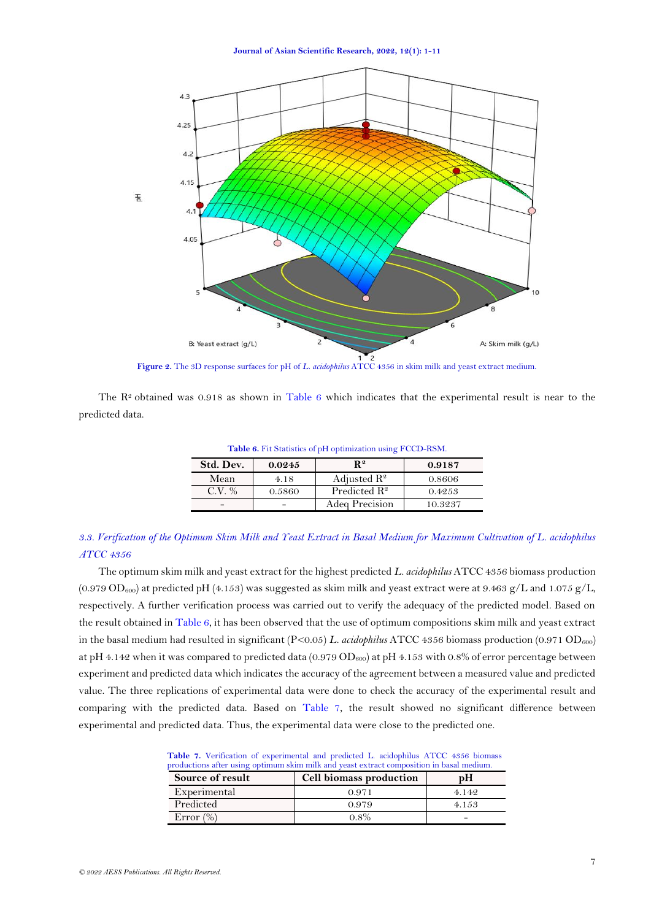**Journal of Asian Scientific Research, 2022, 12(1): 1-11**



<span id="page-6-1"></span><span id="page-6-0"></span>The  $R<sup>2</sup>$  obtained was 0.918 as shown in [Table 6](#page-6-1) which indicates that the experimental result is near to the predicted data.

**Table 6.** Fit Statistics of pH optimization using FCCD-RSM.

| Std. Dev. | 0.0245 | $\mathbf{R}^{\,2}$       | 0.9187  |
|-----------|--------|--------------------------|---------|
| Mean      | 4.18   | Adjusted $\mathbb{R}^2$  | 0.8606  |
| $CV\%$    | 0.5860 | Predicted $\mathbb{R}^2$ | 0.4253  |
|           |        | Adea Precision           | 10.3237 |

# *3.3. Verification of the Optimum Skim Milk and Yeast Extract in Basal Medium for Maximum Cultivation of L. acidophilus ATCC 4356*

The optimum skim milk and yeast extract for the highest predicted *L. acidophilus* ATCC 4356 biomass production  $(0.979 \text{ OD}_{600})$  at predicted pH (4.153) was suggested as skim milk and yeast extract were at 9.463 g/L and 1.075 g/L, respectively. A further verification process was carried out to verify the adequacy of the predicted model. Based on the result obtained i[n Table 6,](#page-6-1) it has been observed that the use of optimum compositions skim milk and yeast extract in the basal medium had resulted in significant (P<0.05) *L. acidophilus* ATCC 4356 biomass production (0.971 OD<sub>600</sub>) at pH 4.142 when it was compared to predicted data  $(0.979 \text{ OD}_{600})$  at pH 4.153 with 0.8% of error percentage between experiment and predicted data which indicates the accuracy of the agreement between a measured value and predicted value. The three replications of experimental data were done to check the accuracy of the experimental result and comparing with the predicted data. Based on [Table 7,](#page-6-2) the result showed no significant difference between experimental and predicted data. Thus, the experimental data were close to the predicted one.

<span id="page-6-2"></span>

| $\mathcal{C}_{\text{annom}}$ of nomes | C <sub>all</sub> Liamage nuaduation                                                      | $\mathbf{H}$ |
|---------------------------------------|------------------------------------------------------------------------------------------|--------------|
|                                       | productions after using optimum skim milk and yeast extract composition in basal medium. |              |
|                                       | Table 7. Verification of experimental and predicted L. acidophilus ATCC 4356 biomass     |              |

| Source of result | Cell biomass production |         |
|------------------|-------------------------|---------|
| Experimental     | O 971                   | 4 1 4 9 |
| Predicted        | 0.979                   | 4.153   |
| Error $(\%)$     | $0.8\%$                 | -       |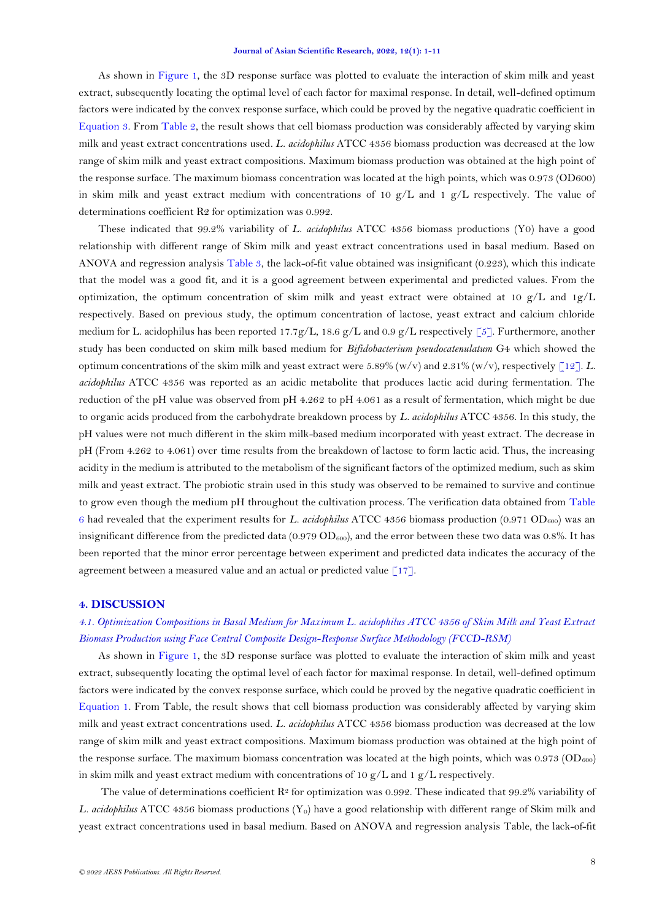As shown in [Figure 1,](#page-4-0) the 3D response surface was plotted to evaluate the interaction of skim milk and yeast extract, subsequently locating the optimal level of each factor for maximal response. In detail, well-defined optimum factors were indicated by the convex response surface, which could be proved by the negative quadratic coefficient in [Equation](#page-3-2) 3. From [Table 2,](#page-3-0) the result shows that cell biomass production was considerably affected by varying skim milk and yeast extract concentrations used*. L. acidophilus* ATCC 4356 biomass production was decreased at the low range of skim milk and yeast extract compositions. Maximum biomass production was obtained at the high point of the response surface. The maximum biomass concentration was located at the high points, which was 0.973 (OD600) in skim milk and yeast extract medium with concentrations of 10  $g/L$  and 1  $g/L$  respectively. The value of determinations coefficient R2 for optimization was 0.992.

These indicated that 99.2% variability of *L. acidophilus* ATCC 4356 biomass productions (Y0) have a good relationship with different range of Skim milk and yeast extract concentrations used in basal medium. Based on ANOVA and regression analysis [Table 3,](#page-3-1) the lack-of-fit value obtained was insignificant (0.223), which this indicate that the model was a good fit, and it is a good agreement between experimental and predicted values. From the optimization, the optimum concentration of skim milk and yeast extract were obtained at 10  $g/L$  and 1g/L respectively. Based on previous study, the optimum concentration of lactose, yeast extract and calcium chloride medium for L. acidophilus has been reported 17.7g/L, 18.6 g/L and 0.9 g/L respectively [\[5\]](#page-9-4). Furthermore, another study has been conducted on skim milk based medium for *Bifidobacterium pseudocatenulatum* G4 which showed the optimum concentrations of the skim milk and yeast extract were 5.89% (w/v) and 2.31% (w/v), respectively  $\lceil 12 \rceil$ . *L*. *acidophilus* ATCC 4356 was reported as an acidic metabolite that produces lactic acid during fermentation. The reduction of the pH value was observed from pH 4.262 to pH 4.061 as a result of fermentation, which might be due to organic acids produced from the carbohydrate breakdown process by *L. acidophilus* ATCC 4356. In this study, the pH values were not much different in the skim milk-based medium incorporated with yeast extract. The decrease in pH (From 4.262 to 4.061) over time results from the breakdown of lactose to form lactic acid. Thus, the increasing acidity in the medium is attributed to the metabolism of the significant factors of the optimized medium, such as skim milk and yeast extract. The probiotic strain used in this study was observed to be remained to survive and continue to grow even though the medium pH throughout the cultivation process. The verification data obtained from [Table](#page-6-1)  [6](#page-6-1) had revealed that the experiment results for *L. acidophilus* ATCC 4356 biomass production (0.971 OD<sub>600</sub>) was an insignificant difference from the predicted data (0.979  $OD_{600}$ ), and the error between these two data was 0.8%. It has been reported that the minor error percentage between experiment and predicted data indicates the accuracy of the agreement between a measured value and an actual or predicted value  $\lceil 17 \rceil$ .

## **4. DISCUSSION**

# *4.1. Optimization Compositions in Basal Medium for Maximum L. acidophilus ATCC 4356 of Skim Milk and Yeast Extract Biomass Production using Face Central Composite Design-Response Surface Methodology (FCCD-RSM)*

As shown in [Figure 1,](#page-4-0) the 3D response surface was plotted to evaluate the interaction of skim milk and yeast extract, subsequently locating the optimal level of each factor for maximal response. In detail, well-defined optimum factors were indicated by the convex response surface, which could be proved by the negative quadratic coefficient in [Equation 1.](#page-2-1) From Table, the result shows that cell biomass production was considerably affected by varying skim milk and yeast extract concentrations used. *L. acidophilus* ATCC 4356 biomass production was decreased at the low range of skim milk and yeast extract compositions. Maximum biomass production was obtained at the high point of the response surface. The maximum biomass concentration was located at the high points, which was  $0.973$  (OD<sub>600</sub>) in skim milk and yeast extract medium with concentrations of 10  $g/L$  and 1  $g/L$  respectively.

The value of determinations coefficient  $\mathbb{R}^2$  for optimization was 0.992. These indicated that 99.2% variability of *L. acidophilus* ATCC 4356 biomass productions (Y<sub>0</sub>) have a good relationship with different range of Skim milk and yeast extract concentrations used in basal medium. Based on ANOVA and regression analysis Table, the lack-of-fit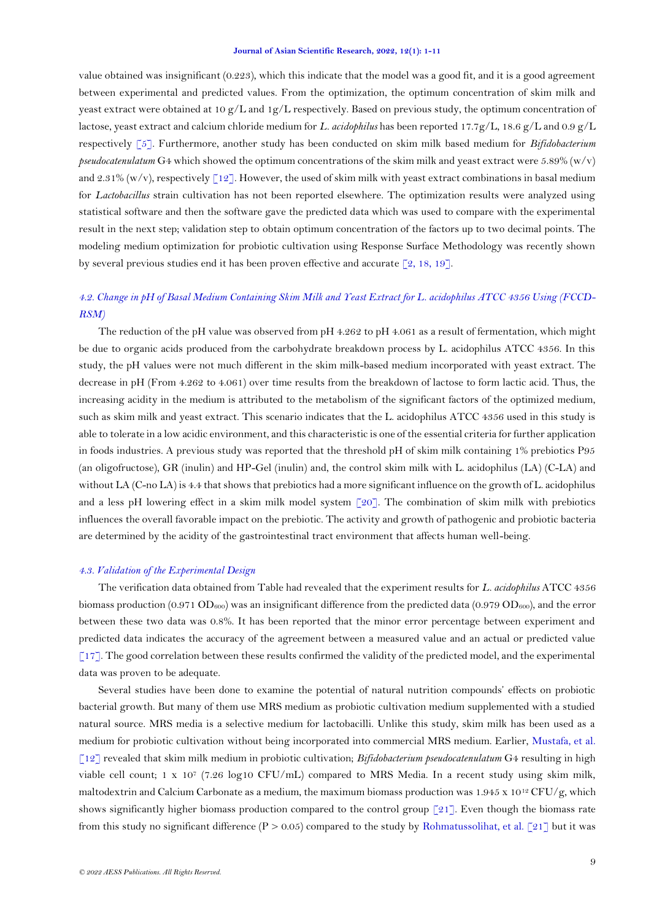value obtained was insignificant (0.223), which this indicate that the model was a good fit, and it is a good agreement between experimental and predicted values. From the optimization, the optimum concentration of skim milk and yeast extract were obtained at 10 g/L and 1g/L respectively. Based on previous study, the optimum concentration of lactose, yeast extract and calcium chloride medium for *L. acidophilus* has been reported 17.7g/L, 18.6 g/L and 0.9 g/L respectively [\[5\]](#page-9-4). Furthermore, another study has been conducted on skim milk based medium for *Bifidobacterium pseudocatenulatum* G4 which showed the optimum concentrations of the skim milk and yeast extract were 5.89% (w/v) and 2.31% (w/v), respectively  $\lceil 12 \rceil$ . However, the used of skim milk with yeast extract combinations in basal medium for *Lactobacillus* strain cultivation has not been reported elsewhere. The optimization results were analyzed using statistical software and then the software gave the predicted data which was used to compare with the experimental result in the next step; validation step to obtain optimum concentration of the factors up to two decimal points. The modeling medium optimization for probiotic cultivation using Response Surface Methodology was recently shown by several previous studies end it has been proven effective and accurate  $[2, 18, 19]$  $[2, 18, 19]$  $[2, 18, 19]$ .

# *4.2. Change in pH of Basal Medium Containing Skim Milk and Yeast Extract for L. acidophilus ATCC 4356 Using (FCCD-RSM)*

The reduction of the pH value was observed from pH 4.262 to pH 4.061 as a result of fermentation, which might be due to organic acids produced from the carbohydrate breakdown process by L. acidophilus ATCC 4356. In this study, the pH values were not much different in the skim milk-based medium incorporated with yeast extract. The decrease in pH (From 4.262 to 4.061) over time results from the breakdown of lactose to form lactic acid. Thus, the increasing acidity in the medium is attributed to the metabolism of the significant factors of the optimized medium, such as skim milk and yeast extract. This scenario indicates that the L. acidophilus ATCC 4356 used in this study is able to tolerate in a low acidic environment, and this characteristic is one of the essential criteria for further application in foods industries. A previous study was reported that the threshold pH of skim milk containing 1% prebiotics P95 (an oligofructose), GR (inulin) and HP-Gel (inulin) and, the control skim milk with L. acidophilus (LA) (C-LA) and without LA (C-no LA) is 4.4 that shows that prebiotics had a more significant influence on the growth of L. acidophilus and a less pH lowering effect in a skim milk model system [\[20\]](#page-10-12). The combination of skim milk with prebiotics influences the overall favorable impact on the prebiotic. The activity and growth of pathogenic and probiotic bacteria are determined by the acidity of the gastrointestinal tract environment that affects human well-being.

### *4.3. Validation of the Experimental Design*

The verification data obtained from Table had revealed that the experiment results for *L. acidophilus* ATCC 4356 biomass production (0.971 OD<sub>600</sub>) was an insignificant difference from the predicted data (0.979 OD<sub>600</sub>), and the error between these two data was 0.8%. It has been reported that the minor error percentage between experiment and predicted data indicates the accuracy of the agreement between a measured value and an actual or predicted value  $[17]$ . The good correlation between these results confirmed the validity of the predicted model, and the experimental data was proven to be adequate.

Several studies have been done to examine the potential of natural nutrition compounds' effects on probiotic bacterial growth. But many of them use MRS medium as probiotic cultivation medium supplemented with a studied natural source. MRS media is a selective medium for lactobacilli. Unlike this study, skim milk has been used as a medium for probiotic cultivation without being incorporated into commercial MRS medium. Earlier, [Mustafa, et al.](#page-10-4)  [\[12\]](#page-10-4) revealed that skim milk medium in probiotic cultivation; *Bifidobacterium pseudocatenulatum* G4 resulting in high viable cell count; 1 x 107 (7.26 log10 CFU/mL) compared to MRS Media. In a recent study using skim milk, maltodextrin and Calcium Carbonate as a medium, the maximum biomass production was  $1.945 \times 10^{12}$  CFU/g, which shows significantly higher biomass production compared to the control group  $\lceil 21 \rceil$ . Even though the biomass rate from this study no significant difference (P > 0.05) compared to the study by [Rohmatussolihat, et al. \[21\]](#page-10-13) but it was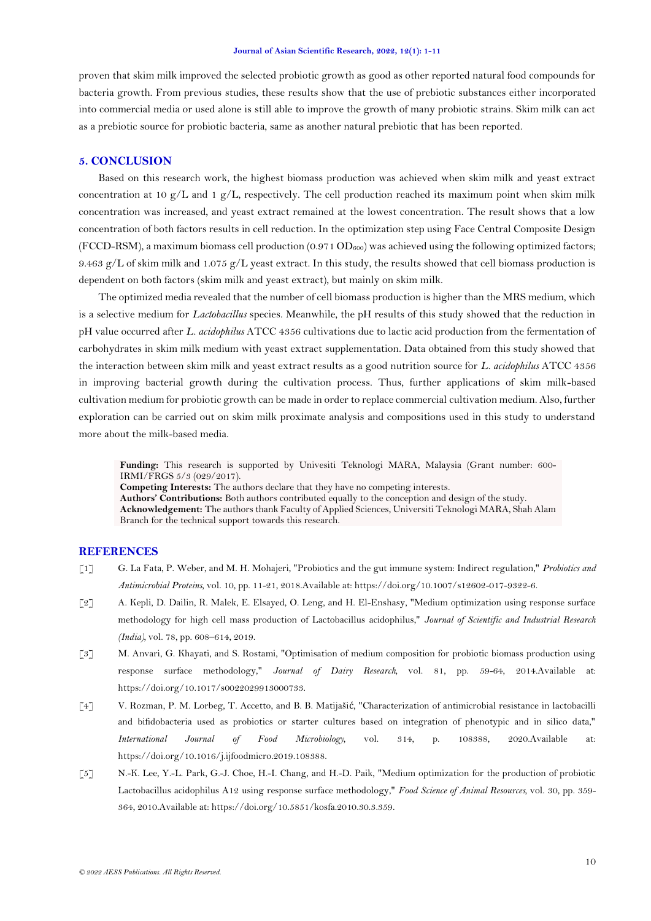proven that skim milk improved the selected probiotic growth as good as other reported natural food compounds for bacteria growth. From previous studies, these results show that the use of prebiotic substances either incorporated into commercial media or used alone is still able to improve the growth of many probiotic strains. Skim milk can act as a prebiotic source for probiotic bacteria, same as another natural prebiotic that has been reported.

# **5. CONCLUSION**

Based on this research work, the highest biomass production was achieved when skim milk and yeast extract concentration at 10  $g/L$  and 1  $g/L$ , respectively. The cell production reached its maximum point when skim milk concentration was increased, and yeast extract remained at the lowest concentration. The result shows that a low concentration of both factors results in cell reduction. In the optimization step using Face Central Composite Design (FCCD-RSM), a maximum biomass cell production  $(0.971 \text{ OD}_{600})$  was achieved using the following optimized factors; 9.463 g/L of skim milk and 1.075 g/L yeast extract. In this study, the results showed that cell biomass production is dependent on both factors (skim milk and yeast extract), but mainly on skim milk.

The optimized media revealed that the number of cell biomass production is higher than the MRS medium, which is a selective medium for *Lactobacillus* species. Meanwhile, the pH results of this study showed that the reduction in pH value occurred after *L. acidophilus* ATCC 4356 cultivations due to lactic acid production from the fermentation of carbohydrates in skim milk medium with yeast extract supplementation. Data obtained from this study showed that the interaction between skim milk and yeast extract results as a good nutrition source for *L. acidophilus* ATCC 4356 in improving bacterial growth during the cultivation process. Thus, further applications of skim milk-based cultivation medium for probiotic growth can be made in order to replace commercial cultivation medium. Also, further exploration can be carried out on skim milk proximate analysis and compositions used in this study to understand more about the milk-based media.

**Funding:** This research is supported by Univesiti Teknologi MARA, Malaysia (Grant number: 600- IRMI/FRGS 5/3 (029/2017).

**Competing Interests:** The authors declare that they have no competing interests.

**Authors' Contributions:** Both authors contributed equally to the conception and design of the study.

**Acknowledgement:** The authors thank Faculty of Applied Sciences, Universiti Teknologi MARA, Shah Alam Branch for the technical support towards this research.

## **REFERENCES**

- <span id="page-9-0"></span>[1] G. La Fata, P. Weber, and M. H. Mohajeri, "Probiotics and the gut immune system: Indirect regulation," *Probiotics and Antimicrobial Proteins,* vol. 10, pp. 11-21, 2018.Available at: https://doi.org/10.1007/s12602-017-9322-6.
- <span id="page-9-1"></span>[2] A. Kepli, D. Dailin, R. Malek, E. Elsayed, O. Leng, and H. El-Enshasy, "Medium optimization using response surface methodology for high cell mass production of Lactobacillus acidophilus," *Journal of Scientific and Industrial Research (India),* vol. 78, pp. 608–614, 2019.
- <span id="page-9-2"></span>[3] M. Anvari, G. Khayati, and S. Rostami, "Optimisation of medium composition for probiotic biomass production using response surface methodology," *Journal of Dairy Research,* vol. 81, pp. 59-64, 2014.Available at: https://doi.org/10.1017/s0022029913000733.
- <span id="page-9-3"></span>[4] V. Rozman, P. M. Lorbeg, T. Accetto, and B. B. Matijašić, "Characterization of antimicrobial resistance in lactobacilli and bifidobacteria used as probiotics or starter cultures based on integration of phenotypic and in silico data," *International Journal of Food Microbiology,* vol. 314, p. 108388, 2020.Available at: https://doi.org/10.1016/j.ijfoodmicro.2019.108388.
- <span id="page-9-4"></span>[5] N.-K. Lee, Y.-L. Park, G.-J. Choe, H.-I. Chang, and H.-D. Paik, "Medium optimization for the production of probiotic Lactobacillus acidophilus A12 using response surface methodology," *Food Science of Animal Resources,* vol. 30, pp. 359- 364, 2010.Available at: https://doi.org/10.5851/kosfa.2010.30.3.359.